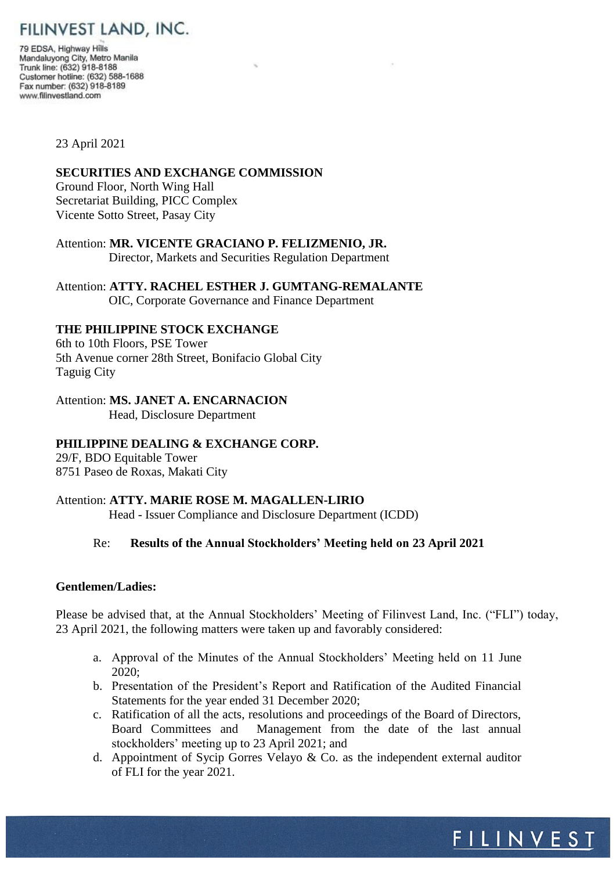# FILINVEST LAND, INC.

79 EDSA, Highway Hills Mandaluyong City, Metro Manila<br>Trunk line: (632) 918-8188 Customer hotline: (632) 588-1688 Fax number: (632) 918-8189 www.filinvestland.com

#### 23 April 2021

## **SECURITIES AND EXCHANGE COMMISSION**

Ground Floor, North Wing Hall Secretariat Building, PICC Complex Vicente Sotto Street, Pasay City

Attention: **MR. VICENTE GRACIANO P. FELIZMENIO, JR.** Director, Markets and Securities Regulation Department

Attention: **ATTY. RACHEL ESTHER J. GUMTANG-REMALANTE** OIC, Corporate Governance and Finance Department

## **THE PHILIPPINE STOCK EXCHANGE**

6th to 10th Floors, PSE Tower 5th Avenue corner 28th Street, Bonifacio Global City Taguig City

# Attention: **MS. JANET A. ENCARNACION**

Head, Disclosure Department

# **PHILIPPINE DEALING & EXCHANGE CORP.**

29/F, BDO Equitable Tower 8751 Paseo de Roxas, Makati City

#### Attention: **ATTY. MARIE ROSE M. MAGALLEN-LIRIO**

Head - Issuer Compliance and Disclosure Department (ICDD)

# Re: **Results of the Annual Stockholders' Meeting held on 23 April 2021**

#### **Gentlemen/Ladies:**

Please be advised that, at the Annual Stockholders' Meeting of Filinvest Land, Inc. ("FLI") today, 23 April 2021, the following matters were taken up and favorably considered:

- a. Approval of the Minutes of the Annual Stockholders' Meeting held on 11 June 2020;
- b. Presentation of the President's Report and Ratification of the Audited Financial Statements for the year ended 31 December 2020;
- c. Ratification of all the acts, resolutions and proceedings of the Board of Directors, Board Committees and Management from the date of the last annual stockholders' meeting up to 23 April 2021; and
- d. Appointment of Sycip Gorres Velayo & Co. as the independent external auditor of FLI for the year 2021.

<u>FILINVEST</u>